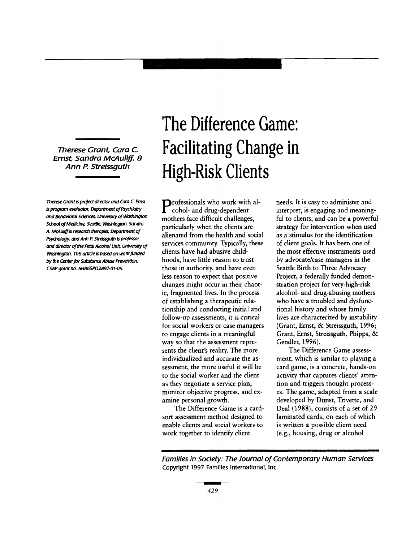*Therese Grant, Cara C. Ernst, Sandra McAuliff, 8 Ann P. Streissguth* 

*Therere Grant k pm\$?ct dlrector and Cora C Emst k program evaluator, Department of Psychiatry* and Behavioral Sciences, University of Washington School of Medicine, Seattle, Washington. Sandra A. McAuliff is research therapist, Department of **Psydwl~,** *andAnn p:* **Strekrguth isprofexror**  *and dlrector* **of** *the* **Fetal** *Alcohol UnH Universfty of*  **Wshlngton.** *Thk atWe k bmed on workfunded by the Center for Substance Abuse Prevention,* **cw** *grant no. 6H86SPO2897-01-05,* 

# The Difference Game: Facilitating Change in High-Risk Clients

**P** rofessionals who work with alcohol- and drug-dependent mothers face difficult challenges, particularly when the clients are alienated from the health and social services community. Typically, these clients have had abusive childhoods, have little reason to trust those in authority, and have even less reason to expect that positive changes might occur in their chaotic, fragmented lives. In the process of establishing a therapeutic relationship and conducting initial and follow-up assessments, it **is** critical for social workers or case managers to engage clients in a meaningful way so that the assessment represents the client's reality. The more individualized and accurate the assessment, the more useful it will be to the social worker and the client as they negotiate a service plan, monitor objective progress, and examine personal growth.

The Difference Game is a cardsort assessment method designed to enable clients and social workers to work together to identify client

needs. It is easy to administer and interpret, is engaging and meaningful to clients, and can be a powerful strategy for intervention when used as a stimulus for the identification of client goals. It has been one of the most effective instruments used by advocate/case managers in the Seattle Birth to Three Advocacy Project, a federally funded demonstration project for very-high-risk alcohol- and drug-abusing mothers who have a troubled and dysfunctional history and whose family lives are characterized by instability (Grant, Emst, & Streissguth, **1996;**  Grant, Ernst, Streissguth, Phipps, & Gendler, **1996).** 

ment, which is similar to playing a card game, **is** a concrete, hands-on activity that captures clients' attention and triggers thought processes. The game, adapted from a scale developed by Dunst, Trivette, and Deal **(1988),** consists of a set of **29**  laminated cards, on each of which is written a possible client need (e.g., housing, drug or alcohol The Difference Game assess-

*Families in Society: The Journal of Contemporary Human Services*  **Copyright 1997 Families International, Inc.**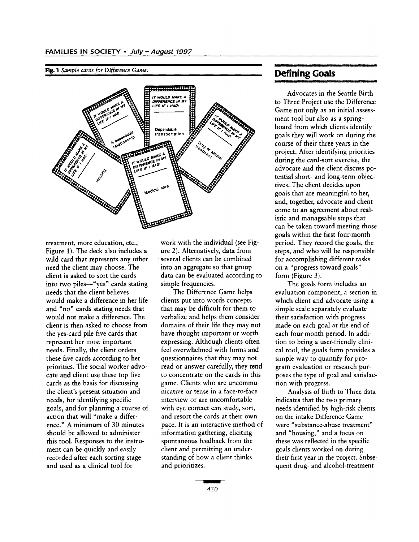

treatment, more education, etc., Figure 1). The deck also includes a wild card that represents any other need the client may choose. The client is asked to sort the cards into two piles--"yes" cards stating needs that the client believes would make a difference in her life and "no" cards stating needs that would not make a difference. The client is then asked to choose from the yes-card pile five cards that represent her most important needs. Finally, the client orders these five cards according to her priorities. The social worker advocate and client use these top five cards as the basis for discussing the client's present situation and needs, for identifying specific goals, and for planning a course of action that will "make a difference." **A** minimum of **30** minutes should be allowed to administer this tool. Responses to the instrument can be quickly and easily recorded after each sorting stage and used as a clinical tool for

work with the individual (see Figure 2). Alternatively, data from several clients can be combined into an aggregate so that group data can be evaluated according to simple frequencies.

The Difference Game helps clients put into words concepts that may be difficult for them to verbalize and helps them consider domains of their life they may not have thought important or worth expressing. Although clients often feel overwhelmed with forms and questionnaires that they may not read or answer carefully, they tend to concentrate on the cards in this game. Clients who are uncommunicative or tense in a face-to-face interview or are uncomfortable with eye contact can study, sort, and resort the cards at their own pace. It is an interactive method of information gathering, eliciting spontaneous feedback from the client and permitting an understanding of how a client thinks and prioritizes. gathering, eliciting<br>
s feedback from the<br>
ermitting an under-<br>
how a client thinks<br>
zes.<br>
430

Advocates in the Seattle Birth to Three Project use the Difference Game not only as an initial assessment tool but also as a springboard from which clients identify goals they will work on during the course of their three years in the project. After identifying priorities during the card-sort exercise, the advocate and the client discuss potential short- and long-term objectives. The client decides upon goals that are meaningful to her, and, together, advocate and client come to an agreement about realistic and manageable steps that can be taken toward meeting those goals within the first four-month period. They record the goals, the steps, and who will be responsible for accomplishing different tasks on a "progress toward goals" form (Figure *3).* 

The goals form includes an evaluation component, a section in which client and advocate using a simple scale separately evaluate their satisfaction with progress made on each goal at the end of each four-month period. In addition to being a user-friendly clinical tool, the goals form provides a simple way to quantify for **pro**gram evaluation or research purposes the type of goal and satisfaction with progress.

Analysis of Birth to Three data indicates that the two primary needs identified by high-risk clients on the intake Difference Game were "substance-abuse treatment" and "housing," and a focus on these was reflected in the specific goals clients worked on during their first year in the project. Subsequent drug- and alcohol-treatment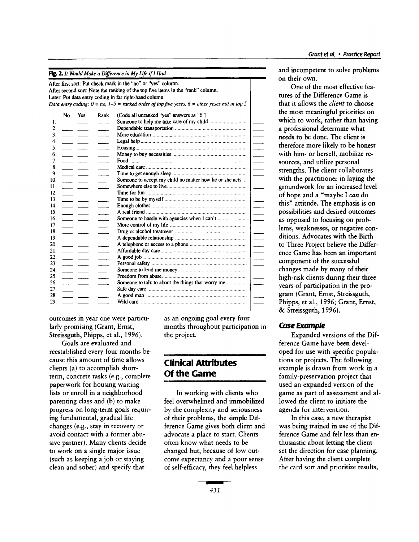| Fig. 2. It Would Make a Difference in My Life if I Had |  |                                                                                                                                                                                                                                                                                                                                                                                                                                                                            |                          |                                                                                                                                                                                                                                                                                                                    |                          |  |  |  |  |  |
|--------------------------------------------------------|--|----------------------------------------------------------------------------------------------------------------------------------------------------------------------------------------------------------------------------------------------------------------------------------------------------------------------------------------------------------------------------------------------------------------------------------------------------------------------------|--------------------------|--------------------------------------------------------------------------------------------------------------------------------------------------------------------------------------------------------------------------------------------------------------------------------------------------------------------|--------------------------|--|--|--|--|--|
|                                                        |  |                                                                                                                                                                                                                                                                                                                                                                                                                                                                            |                          | After first sort: Put check mark in the "no" or "yes" column.<br>After second sort: Note the ranking of the top five items in the "rank" column.<br>Later: Put data entry coding in far right-hand column.<br>Data entry coding: $0 = no$ , $1-5 =$ ranked order of top five yeses, $6 =$ other yeses not in top 5 |                          |  |  |  |  |  |
|                                                        |  | No Yes                                                                                                                                                                                                                                                                                                                                                                                                                                                                     | Rank                     | (Code all unranked "yes" answers as "6")                                                                                                                                                                                                                                                                           |                          |  |  |  |  |  |
| 1.                                                     |  | $\overline{\phantom{a}}$                                                                                                                                                                                                                                                                                                                                                                                                                                                   |                          |                                                                                                                                                                                                                                                                                                                    | $\overline{\phantom{a}}$ |  |  |  |  |  |
| 2.                                                     |  | المستنبذ المتنبذ                                                                                                                                                                                                                                                                                                                                                                                                                                                           |                          |                                                                                                                                                                                                                                                                                                                    | $\overline{\phantom{0}}$ |  |  |  |  |  |
| 3.                                                     |  | $\frac{1}{2}$                                                                                                                                                                                                                                                                                                                                                                                                                                                              |                          |                                                                                                                                                                                                                                                                                                                    | $\overline{\phantom{0}}$ |  |  |  |  |  |
| 4.                                                     |  | $\frac{1}{2} \left( \frac{1}{2} \right)$                                                                                                                                                                                                                                                                                                                                                                                                                                   |                          |                                                                                                                                                                                                                                                                                                                    | $\overline{\phantom{a}}$ |  |  |  |  |  |
| 5.                                                     |  | <u>and the company of the second of the second of the second of the second of the second of the second of the second of the second of the second of the second of the second of the second of the second of the second of the se</u>                                                                                                                                                                                                                                       | $\overline{\phantom{0}}$ |                                                                                                                                                                                                                                                                                                                    | $\overline{\phantom{a}}$ |  |  |  |  |  |
| 6.                                                     |  | $\overline{\phantom{a}}$ $\overline{\phantom{a}}$                                                                                                                                                                                                                                                                                                                                                                                                                          | $\frac{1}{1}$            |                                                                                                                                                                                                                                                                                                                    | $\overline{\phantom{a}}$ |  |  |  |  |  |
| 7.                                                     |  | $\overline{\phantom{a}}$ and $\overline{\phantom{a}}$                                                                                                                                                                                                                                                                                                                                                                                                                      | $\overline{\phantom{0}}$ |                                                                                                                                                                                                                                                                                                                    | $\overline{\phantom{0}}$ |  |  |  |  |  |
| 8.                                                     |  | المستنبذ المستنبر                                                                                                                                                                                                                                                                                                                                                                                                                                                          |                          |                                                                                                                                                                                                                                                                                                                    | $\frac{1}{2}$            |  |  |  |  |  |
| 9.                                                     |  | $\overline{\phantom{iiiiiiiiiiiiiii}}$                                                                                                                                                                                                                                                                                                                                                                                                                                     |                          |                                                                                                                                                                                                                                                                                                                    | $\overline{\phantom{a}}$ |  |  |  |  |  |
| 10.                                                    |  | $\overline{\phantom{iiiiiiiiiiiiiii}}$                                                                                                                                                                                                                                                                                                                                                                                                                                     | $\frac{1}{2}$            | Someone to accept my child no matter how he or she acts                                                                                                                                                                                                                                                            | L.                       |  |  |  |  |  |
| 11.                                                    |  | $\frac{1}{2} \left( \frac{1}{2} \right) \left( \frac{1}{2} \right) \left( \frac{1}{2} \right) \left( \frac{1}{2} \right) \left( \frac{1}{2} \right) \left( \frac{1}{2} \right) \left( \frac{1}{2} \right) \left( \frac{1}{2} \right) \left( \frac{1}{2} \right) \left( \frac{1}{2} \right) \left( \frac{1}{2} \right) \left( \frac{1}{2} \right) \left( \frac{1}{2} \right) \left( \frac{1}{2} \right) \left( \frac{1}{2} \right) \left( \frac{1}{2} \right) \left( \frac$ |                          |                                                                                                                                                                                                                                                                                                                    | $\overline{\phantom{0}}$ |  |  |  |  |  |
| 12.                                                    |  | $\overline{\phantom{a}}$ and $\overline{\phantom{a}}$                                                                                                                                                                                                                                                                                                                                                                                                                      | $\overline{\phantom{a}}$ |                                                                                                                                                                                                                                                                                                                    | $\overline{\phantom{0}}$ |  |  |  |  |  |
| 13.                                                    |  | $\overline{\phantom{a}}$ $\overline{\phantom{a}}$                                                                                                                                                                                                                                                                                                                                                                                                                          | $\overline{\phantom{a}}$ |                                                                                                                                                                                                                                                                                                                    |                          |  |  |  |  |  |
| 14.                                                    |  | $\frac{1}{2}$                                                                                                                                                                                                                                                                                                                                                                                                                                                              | $\overline{\phantom{a}}$ |                                                                                                                                                                                                                                                                                                                    |                          |  |  |  |  |  |
| 15.                                                    |  | $\frac{1}{1} \frac{1}{1} \frac{1}{1} \frac{1}{1} \frac{1}{1} \frac{1}{1} \frac{1}{1} \frac{1}{1} \frac{1}{1} \frac{1}{1} \frac{1}{1} \frac{1}{1} \frac{1}{1} \frac{1}{1} \frac{1}{1} \frac{1}{1} \frac{1}{1} \frac{1}{1} \frac{1}{1} \frac{1}{1} \frac{1}{1} \frac{1}{1} \frac{1}{1} \frac{1}{1} \frac{1}{1} \frac{1}{1} \frac{1}{1} \frac{1}{1} \frac{1}{1} \frac{1}{1} \frac{1}{1} \frac{$                                                                               | $\overline{\phantom{a}}$ |                                                                                                                                                                                                                                                                                                                    | $\overline{\phantom{0}}$ |  |  |  |  |  |
| 16.                                                    |  | $\frac{1}{2} \left( \frac{1}{2} \right) + \frac{1}{2} \left( \frac{1}{2} \right) + \frac{1}{2} \left( \frac{1}{2} \right) + \frac{1}{2} \left( \frac{1}{2} \right) + \frac{1}{2} \left( \frac{1}{2} \right) + \frac{1}{2} \left( \frac{1}{2} \right) + \frac{1}{2} \left( \frac{1}{2} \right) + \frac{1}{2} \left( \frac{1}{2} \right) + \frac{1}{2} \left( \frac{1}{2} \right) + \frac{1}{2} \left( \frac{1}{2} \right) + \frac{1}{2} \left($                             | $\overline{\phantom{a}}$ |                                                                                                                                                                                                                                                                                                                    | $\overline{\phantom{0}}$ |  |  |  |  |  |
| 17.                                                    |  | $\frac{1}{2} \left( \frac{1}{2} \right) = \frac{1}{2} \left( \frac{1}{2} \right) = \frac{1}{2} \left( \frac{1}{2} \right) = \frac{1}{2} \left( \frac{1}{2} \right) = \frac{1}{2} \left( \frac{1}{2} \right) = \frac{1}{2} \left( \frac{1}{2} \right) = \frac{1}{2} \left( \frac{1}{2} \right) = \frac{1}{2} \left( \frac{1}{2} \right) = \frac{1}{2} \left( \frac{1}{2} \right) = \frac{1}{2} \left( \frac{1}{2} \right) = \frac{1}{2} \left($                             | $\overline{\phantom{0}}$ |                                                                                                                                                                                                                                                                                                                    |                          |  |  |  |  |  |
| 18.                                                    |  | $\frac{1}{2} \left( \frac{1}{2} \right)^2 + \frac{1}{2} \left( \frac{1}{2} \right)^2 + \frac{1}{2} \left( \frac{1}{2} \right)^2 + \frac{1}{2} \left( \frac{1}{2} \right)^2 + \frac{1}{2} \left( \frac{1}{2} \right)^2 + \frac{1}{2} \left( \frac{1}{2} \right)^2 + \frac{1}{2} \left( \frac{1}{2} \right)^2 + \frac{1}{2} \left( \frac{1}{2} \right)^2 + \frac{1}{2} \left( \frac{1}{2} \right)^2 + \frac{1}{2} \left( \frac{1}{2} \right)^2 +$                            | $\sim$                   |                                                                                                                                                                                                                                                                                                                    |                          |  |  |  |  |  |
| 19 <sub>1</sub>                                        |  | $\frac{1}{2} \left( \frac{1}{2} \right) = \frac{1}{2} \left( \frac{1}{2} \right) = \frac{1}{2} \left( \frac{1}{2} \right) = \frac{1}{2} \left( \frac{1}{2} \right) = \frac{1}{2} \left( \frac{1}{2} \right) = \frac{1}{2} \left( \frac{1}{2} \right) = \frac{1}{2} \left( \frac{1}{2} \right) = \frac{1}{2} \left( \frac{1}{2} \right) = \frac{1}{2} \left( \frac{1}{2} \right) = \frac{1}{2} \left( \frac{1}{2} \right) = \frac{1}{2} \left($                             | $\sim$ 10 $\pm$          |                                                                                                                                                                                                                                                                                                                    |                          |  |  |  |  |  |
| 20.                                                    |  | $\frac{1}{2} \left( \frac{1}{2} \right) = \frac{1}{2} \left( \frac{1}{2} \right) = \frac{1}{2} \left( \frac{1}{2} \right) = \frac{1}{2} \left( \frac{1}{2} \right) = \frac{1}{2} \left( \frac{1}{2} \right) = \frac{1}{2} \left( \frac{1}{2} \right) = \frac{1}{2} \left( \frac{1}{2} \right) = \frac{1}{2} \left( \frac{1}{2} \right) = \frac{1}{2} \left( \frac{1}{2} \right) = \frac{1}{2} \left( \frac{1}{2} \right) = \frac{1}{2} \left($                             |                          |                                                                                                                                                                                                                                                                                                                    | $\overline{\phantom{a}}$ |  |  |  |  |  |
| 21.                                                    |  | $\overline{\phantom{a}}$ and $\overline{\phantom{a}}$                                                                                                                                                                                                                                                                                                                                                                                                                      | $\sim 10^{-1}$           |                                                                                                                                                                                                                                                                                                                    | $\overline{\phantom{0}}$ |  |  |  |  |  |
| 22.                                                    |  | $\frac{1}{2}$ and $\frac{1}{2}$                                                                                                                                                                                                                                                                                                                                                                                                                                            | $\sim$                   |                                                                                                                                                                                                                                                                                                                    | $\frac{1}{2}$            |  |  |  |  |  |
| 23.                                                    |  | $\frac{1}{2}$                                                                                                                                                                                                                                                                                                                                                                                                                                                              |                          |                                                                                                                                                                                                                                                                                                                    | $\overline{\phantom{a}}$ |  |  |  |  |  |
| 24.                                                    |  | $\frac{1}{2}$                                                                                                                                                                                                                                                                                                                                                                                                                                                              |                          |                                                                                                                                                                                                                                                                                                                    |                          |  |  |  |  |  |
| 25.                                                    |  | $\frac{1}{2}$                                                                                                                                                                                                                                                                                                                                                                                                                                                              | $\frac{1}{2}$            |                                                                                                                                                                                                                                                                                                                    | $\overline{\phantom{0}}$ |  |  |  |  |  |
| 26.                                                    |  | $\overline{\phantom{a}}$                                                                                                                                                                                                                                                                                                                                                                                                                                                   |                          |                                                                                                                                                                                                                                                                                                                    | $\overline{\phantom{a}}$ |  |  |  |  |  |
| 27.                                                    |  | $\frac{1}{1}$                                                                                                                                                                                                                                                                                                                                                                                                                                                              | $\sim$                   |                                                                                                                                                                                                                                                                                                                    | $\overline{\phantom{a}}$ |  |  |  |  |  |
| 28.                                                    |  | $\overline{\phantom{a}}$                                                                                                                                                                                                                                                                                                                                                                                                                                                   |                          |                                                                                                                                                                                                                                                                                                                    | $\frac{1}{2}$            |  |  |  |  |  |
| 29.                                                    |  | $- -$                                                                                                                                                                                                                                                                                                                                                                                                                                                                      | $\sim 10^{-1}$           |                                                                                                                                                                                                                                                                                                                    |                          |  |  |  |  |  |

outcomes in year one were particularly promising (Grant, Ernst, Streissguth, Phipps, et al., 1996).

Goals are evaluated and reestablished every four months because this amount of time allows clients (a) to accomplish shortterm, concrete tasks (e.g., complete paperwork for housing waiting lists or enroll in a neighborhood parenting class and (b) to make progress on long-term goals requiring fundamental, gradual life changes (e.g., stay in recovery or avoid contact with a former abusive parmer). Many clients decide to work on a single major issue (such as keeping a job or staying clean and sober) and specify that

as an ongoing goal every four months throughout participation in the project.

## **Clinical Attributes Of the Game**

In working with clients who feel overwhelmed and immobilized by the complexity and seriousness of their problems, the simple Difference Game gives both client and advocate a place to start. Clients often know what needs to be changed but, because of low outcome expectancy and a poor sense of self-efficacy, they feel helpless xing with clients who<br>elmed and immobilized<br>olexity and seriousness<br>blems, the simple Dif-<br>ne gives both client and<br>place to start. Clients<br>what needs to be<br>t, because of low out-<br>tancy and a poor sense<br>icy, they feel help and incompetent to solve problems on their own.

One of the most effective features of the Difference Game is that it allows the client to choose the most meaningful priorities on which to work, rather than having a professional determine what needs to be done. The client is therefore more likely to be honest with him- or herself, mobilize resources, and utilize personal strengths. The client collaborates with the practitioner in laying the groundwork for an increased level of hope and a "maybe I can do this" attitude. The emphasis is on possibilities and desired outcomes as opposed to focusing on problems, weaknesses, or negative conditions. Advocates with the Birth to Three Project believe the Difference Game has been an important component of the successful changes made by many of their high-risk clients during their three years of participation in the program (Grant, Ernst, Streissguth, Phipps, et al., **1996;** Grant, Ernst, & Streissguth, **1996).** 

#### **Cclse** *Exmp/e*

Expanded versions of the Difference Game have been developed for use with specific populations or projects. The following example is drawn from work in a family-preservation project that used an expanded version of the game as part of assessment and allowed the client to initiate the agenda for intervention.

In this case, a new therapist was being trained in use of the Difference Game and felt less than enthusiastic about letting the client set the direction for case planning. After having the client complete the card sort and prioritize results,